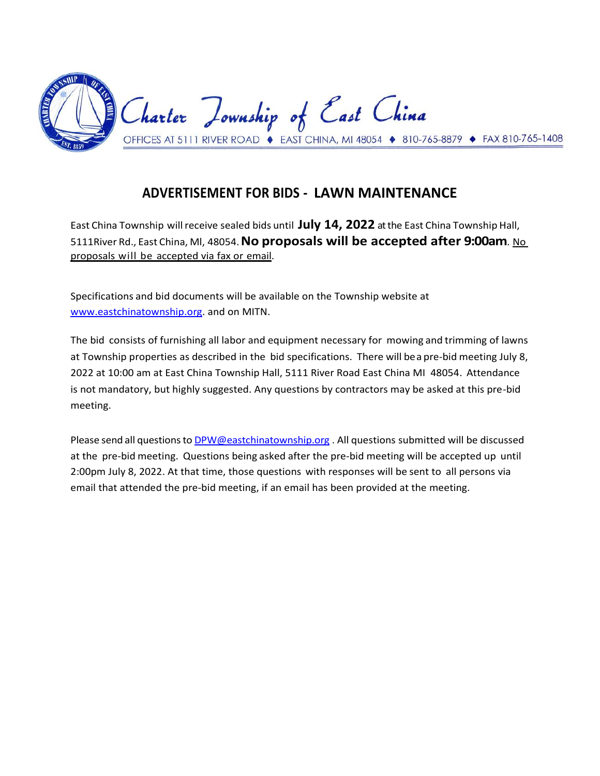

# **ADVERTISEMENT FOR BIDS - LAWN MAINTENANCE**

East China Township willreceive sealed bids until **July 14, 2022** atthe East China Township Hall, 5111River Rd., East China, Ml, 48054.**No proposals will be accepted after 9:00am**. No proposals will be accepted via fax or email.

Specifications and bid documents will be available on the Township website at [www.eastchinatownship.org.](http://www.eastchinatownship.org/) and on MITN.

The bid consists of furnishing all labor and equipment necessary for mowing and trimming of lawns at Township properties as described in the bid specifications. There will bea pre-bid meeting July 8, 2022 at 10:00 am at East China Township Hall, 5111 River Road East China MI 48054. Attendance is not mandatory, but highly suggested. Any questions by contractors may be asked at this pre-bid meeting.

Please send all questions to [DPW@eastchinatownship.org](mailto:DPW@eastchinatownship.org) . All questions submitted will be discussed at the pre-bid meeting. Questions being asked after the pre-bid meeting will be accepted up until 2:00pm July 8, 2022. At that time, those questions with responses will be sent to all persons via email that attended the pre-bid meeting, if an email has been provided at the meeting.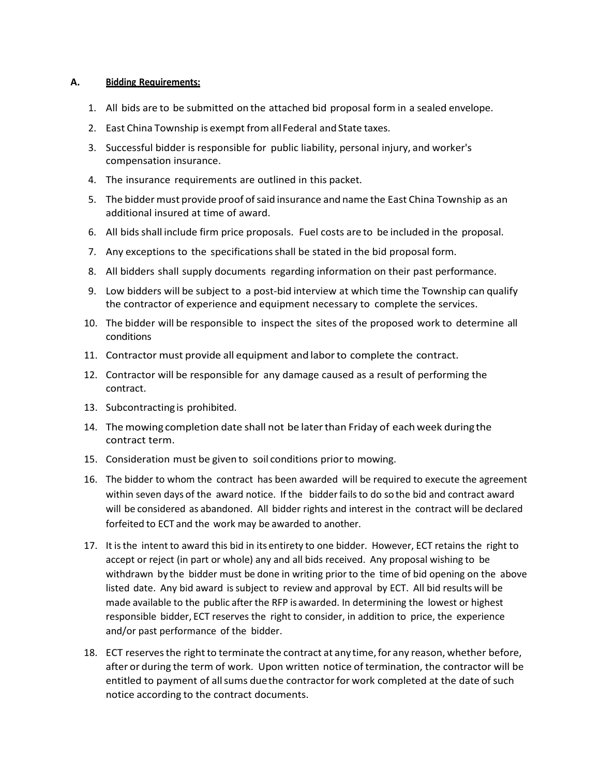#### **A. Bidding Requirements:**

- 1. All bids are to be submitted on the attached bid proposal form in a sealed envelope.
- 2. East China Township is exempt from allFederal and State taxes.
- 3. Successful bidder is responsible for public liability, personal injury, and worker's compensation insurance.
- 4. The insurance requirements are outlined in this packet.
- 5. The bidder must provide proof ofsaid insurance and name the East China Township as an additional insured at time of award.
- 6. All bidsshall include firm price proposals. Fuel costs are to be included in the proposal.
- 7. Any exceptions to the specificationsshall be stated in the bid proposal form.
- 8. All bidders shall supply documents regarding information on their past performance.
- 9. Low bidders will be subject to a post-bid interview at which time the Township can qualify the contractor of experience and equipment necessary to complete the services.
- 10. The bidder will be responsible to inspect the sites of the proposed work to determine all conditions
- 11. Contractor must provide all equipment and laborto complete the contract.
- 12. Contractor will be responsible for any damage caused as a result of performing the contract.
- 13. Subcontracting is prohibited.
- 14. The mowing completion date shall not be laterthan Friday of each week duringthe contract term.
- 15. Consideration must be given to soil conditions priorto mowing.
- 16. The bidder to whom the contract has been awarded will be required to execute the agreement within seven days of the award notice. If the bidderfailsto do so the bid and contract award will be considered as abandoned. All bidder rights and interest in the contract will be declared forfeited to ECT and the work may be awarded to another.
- 17. It isthe intent to award this bid in its entirety to one bidder. However, ECT retains the right to accept or reject (in part or whole) any and all bids received. Any proposal wishing to be withdrawn by the bidder must be done in writing prior to the time of bid opening on the above listed date. Any bid award issubject to review and approval by ECT. All bid results will be made available to the public afterthe RFP is awarded. In determining the lowest or highest responsible bidder, ECT reserves the right to consider, in addition to price, the experience and/or past performance of the bidder.
- 18. ECT reserves the right to terminate the contract at any time, for any reason, whether before, after or during the term of work. Upon written notice of termination, the contractor will be entitled to payment of allsums duethe contractorfor work completed at the date of such notice according to the contract documents.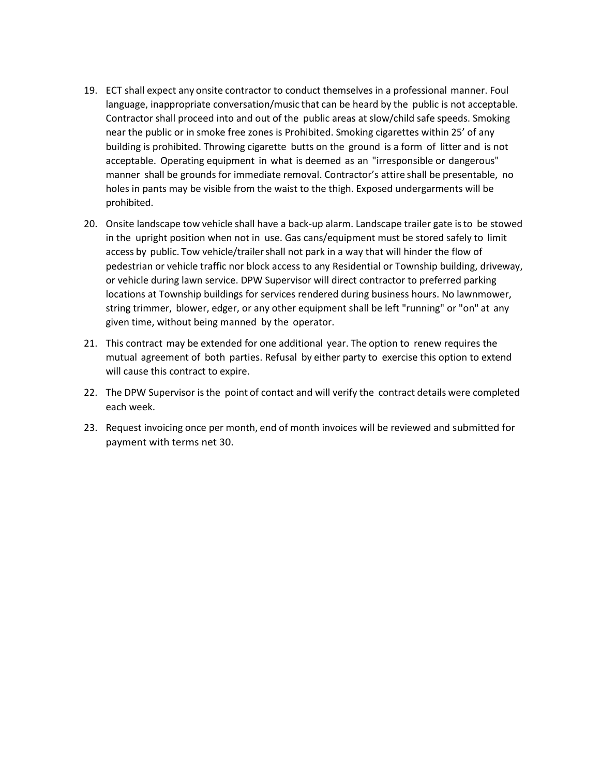- 19. ECT shall expect any onsite contractor to conduct themselves in a professional manner. Foul language, inappropriate conversation/music that can be heard by the public is not acceptable. Contractor shall proceed into and out of the public areas at slow/child safe speeds. Smoking near the public or in smoke free zones is Prohibited. Smoking cigarettes within 25' of any building is prohibited. Throwing cigarette butts on the ground is a form of litter and is not acceptable. Operating equipment in what is deemed as an "irresponsible or dangerous" manner shall be grounds for immediate removal. Contractor's attire shall be presentable, no holes in pants may be visible from the waist to the thigh. Exposed undergarments will be prohibited.
- 20. Onsite landscape tow vehicle shall have a back-up alarm. Landscape trailer gate isto be stowed in the upright position when not in use. Gas cans/equipment must be stored safely to limit access by public. Tow vehicle/trailershall not park in a way that will hinder the flow of pedestrian or vehicle traffic nor block access to any Residential or Township building, driveway, or vehicle during lawn service. DPW Supervisor will direct contractor to preferred parking locations at Township buildings for services rendered during business hours. No lawnmower, string trimmer, blower, edger, or any other equipment shall be left "running" or "on" at any given time, without being manned by the operator.
- 21. This contract may be extended for one additional year. The option to renew requires the mutual agreement of both parties. Refusal by either party to exercise this option to extend will cause this contract to expire.
- 22. The DPW Supervisor isthe point of contact and will verify the contract details were completed each week.
- 23. Request invoicing once per month, end of month invoices will be reviewed and submitted for payment with terms net 30.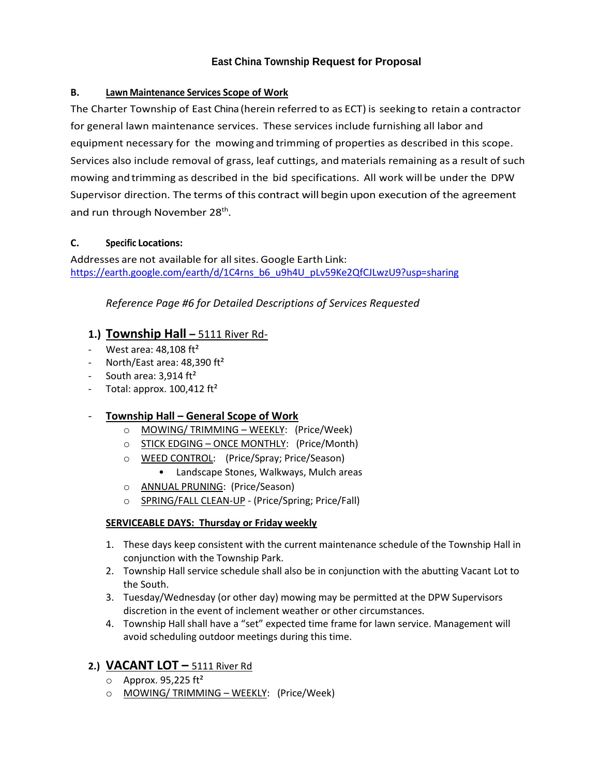### **East China Township Request for Proposal**

#### **B. Lawn Maintenance Services Scope of Work**

The Charter Township of East China (herein referred to as ECT) is seeking to retain a contractor for general lawn maintenance services. These services include furnishing all labor and equipment necessary for the mowing and trimming of properties as described in this scope. Services also include removal of grass, leaf cuttings, and materials remaining as a result of such mowing and trimming as described in the bid specifications. All work will be under the DPW Supervisor direction. The terms of this contract will begin upon execution of the agreement and run through November 28<sup>th</sup>.

#### **C. Specific Locations:**

Addresses are not available for all sites. Google Earth Link: [https://earth.google.com/earth/d/1C4rns\\_b6\\_u9h4U\\_pLv59Ke2QfCJLwzU9?usp=sharing](https://earth.google.com/earth/d/1C4rns_b6_u9h4U_pLv59Ke2QfCJLwzU9?usp=sharing)

#### *Reference Page #6 for Detailed Descriptions of Services Requested*

#### **1.) Township Hall –** 5111 River Rd-

- West area:  $48,108$  ft<sup>2</sup>
- North/East area:  $48,390$  ft<sup>2</sup>
- South area:  $3,914$  ft<sup>2</sup>
- Total: approx.  $100,412 \text{ ft}^2$

#### - **Township Hall – General Scope of Work**

- o MOWING/ TRIMMING WEEKLY: (Price/Week)
- o STICK EDGING ONCE MONTHLY:(Price/Month)
- o WEED CONTROL: (Price/Spray; Price/Season)
	- Landscape Stones, Walkways, Mulch areas
- o ANNUAL PRUNING: (Price/Season)
- o SPRING/FALL CLEAN-UP (Price/Spring; Price/Fall)

#### **SERVICEABLE DAYS: Thursday or Friday weekly**

- 1. These days keep consistent with the current maintenance schedule of the Township Hall in conjunction with the Township Park.
- 2. Township Hall service schedule shall also be in conjunction with the abutting Vacant Lot to the South.
- 3. Tuesday/Wednesday (or other day) mowing may be permitted at the DPW Supervisors discretion in the event of inclement weather or other circumstances.
- 4. Township Hall shall have a "set" expected time frame for lawn service. Management will avoid scheduling outdoor meetings during this time.

### **2.) VACANT LOT –** 5111 River Rd

- $\circ$  Approx. 95,225 ft<sup>2</sup>
- o MOWING/ TRIMMING WEEKLY: (Price/Week)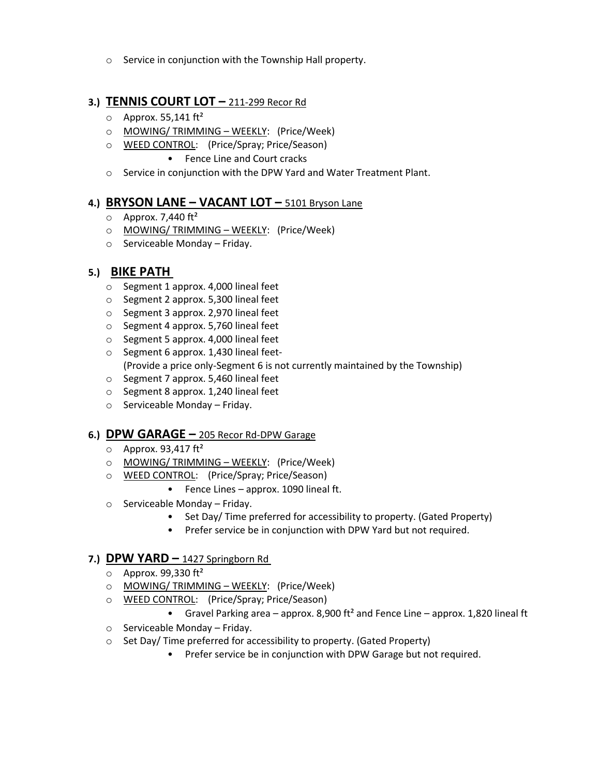o Service in conjunction with the Township Hall property.

#### **3.) TENNIS COURT LOT –** 211-299 Recor Rd

- $\circ$  Approx. 55,141 ft<sup>2</sup>
- o MOWING/ TRIMMING WEEKLY: (Price/Week)
- o WEED CONTROL: (Price/Spray; Price/Season)
	- Fence Line and Court cracks
- o Service in conjunction with the DPW Yard and Water Treatment Plant.

### **4.) BRYSON LANE – VACANT LOT –** 5101 Bryson Lane

- $\circ$  Approx. 7,440 ft<sup>2</sup>
- o MOWING/ TRIMMING WEEKLY: (Price/Week)
- o Serviceable Monday Friday.

#### **5.) BIKE PATH**

- o Segment 1 approx. 4,000 lineal feet
- o Segment 2 approx. 5,300 lineal feet
- o Segment 3 approx. 2,970 lineal feet
- o Segment 4 approx. 5,760 lineal feet
- o Segment 5 approx. 4,000 lineal feet
- o Segment 6 approx. 1,430 lineal feet- (Provide a price only-Segment 6 is not currently maintained by the Township)
- o Segment 7 approx. 5,460 lineal feet
- o Segment 8 approx. 1,240 lineal feet
- o Serviceable Monday Friday.

#### **6.) DPW GARAGE –** 205 Recor Rd-DPW Garage

- $\circ$  Approx. 93,417 ft<sup>2</sup>
- o MOWING/ TRIMMING WEEKLY: (Price/Week)
- o WEED CONTROL: (Price/Spray; Price/Season)
	- Fence Lines approx. 1090 lineal ft.
- o Serviceable Monday Friday.
	- Set Day/ Time preferred for accessibility to property. (Gated Property)
	- Prefer service be in conjunction with DPW Yard but not required.

#### **7.) DPW YARD –** 1427 Springborn Rd

- $\circ$  Approx. 99,330 ft<sup>2</sup>
- o MOWING/ TRIMMING WEEKLY: (Price/Week)
- o WEED CONTROL: (Price/Spray; Price/Season)
	- Gravel Parking area approx. 8,900 ft<sup>2</sup> and Fence Line approx. 1,820 lineal ft
- o Serviceable Monday Friday.
- o Set Day/ Time preferred for accessibility to property. (Gated Property)
	- Prefer service be in conjunction with DPW Garage but not required.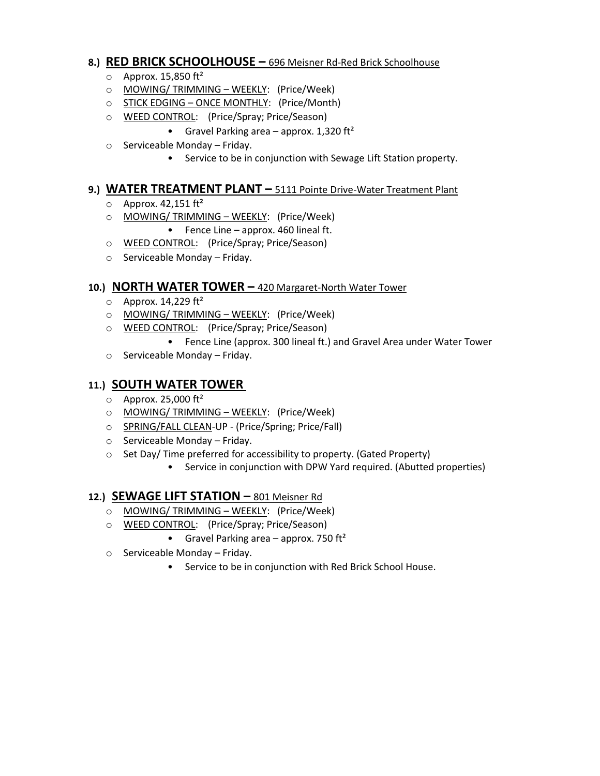#### **8.) RED BRICK SCHOOLHOUSE –** 696 Meisner Rd-Red Brick Schoolhouse

- $\circ$  Approx. 15,850 ft<sup>2</sup>
- o MOWING/ TRIMMING WEEKLY: (Price/Week)
- o STICK EDGING ONCE MONTHLY:(Price/Month)
- o WEED CONTROL: (Price/Spray; Price/Season)
	- Gravel Parking area approx. 1,320 ft<sup>2</sup>
- o Serviceable Monday Friday.
	- Service to be in conjunction with Sewage Lift Station property.

#### **9.) WATER TREATMENT PLANT –** 5111 Pointe Drive-Water Treatment Plant

- $\circ$  Approx. 42,151 ft<sup>2</sup>
- o MOWING/ TRIMMING WEEKLY: (Price/Week)
	- Fence Line approx. 460 lineal ft.
- o WEED CONTROL: (Price/Spray; Price/Season)
- o Serviceable Monday Friday.

#### **10.) NORTH WATER TOWER –** 420 Margaret-North Water Tower

- $\circ$  Approx. 14,229 ft<sup>2</sup>
- o MOWING/ TRIMMING WEEKLY: (Price/Week)
- o WEED CONTROL: (Price/Spray; Price/Season)
	- Fence Line (approx. 300 lineal ft.) and Gravel Area under Water Tower
- o Serviceable Monday Friday.

### **11.) SOUTH WATER TOWER**

- $\circ$  Approx. 25,000 ft<sup>2</sup>
- o MOWING/ TRIMMING WEEKLY: (Price/Week)
- o SPRING/FALL CLEAN-UP (Price/Spring; Price/Fall)
- o Serviceable Monday Friday.
- o Set Day/ Time preferred for accessibility to property. (Gated Property)
	- Service in conjunction with DPW Yard required. (Abutted properties)

### **12.) SEWAGE LIFT STATION –** 801 Meisner Rd

- o MOWING/ TRIMMING WEEKLY: (Price/Week)
- o WEED CONTROL: (Price/Spray; Price/Season)
	- Gravel Parking area  $-$  approx. 750 ft<sup>2</sup>
- o Serviceable Monday Friday.
	- Service to be in conjunction with Red Brick School House.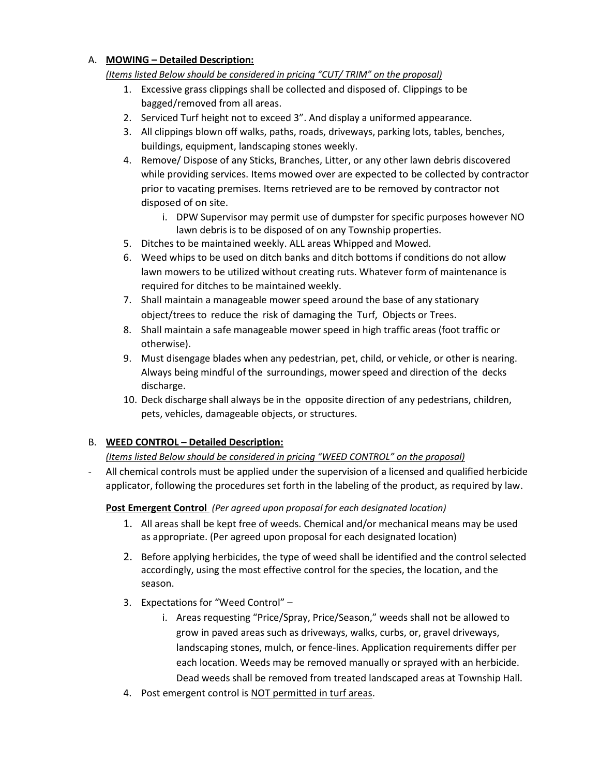#### A. **MOWING – Detailed Description:**

#### *(Items listed Below should be considered in pricing "CUT/ TRIM" on the proposal)*

- 1. Excessive grass clippings shall be collected and disposed of. Clippings to be bagged/removed from all areas.
- 2. Serviced Turf height not to exceed 3". And display a uniformed appearance.
- 3. All clippings blown off walks, paths, roads, driveways, parking lots, tables, benches, buildings, equipment, landscaping stones weekly.
- 4. Remove/ Dispose of any Sticks, Branches, Litter, or any other lawn debris discovered while providing services. Items mowed over are expected to be collected by contractor prior to vacating premises. Items retrieved are to be removed by contractor not disposed of on site.
	- i. DPW Supervisor may permit use of dumpster for specific purposes however NO lawn debris is to be disposed of on any Township properties.
- 5. Ditches to be maintained weekly. ALL areas Whipped and Mowed.
- 6. Weed whips to be used on ditch banks and ditch bottoms if conditions do not allow lawn mowers to be utilized without creating ruts. Whatever form of maintenance is required for ditches to be maintained weekly.
- 7. Shall maintain a manageable mower speed around the base of any stationary object/trees to reduce the risk of damaging the Turf, Objects or Trees.
- 8. Shall maintain a safe manageable mower speed in high traffic areas (foot traffic or otherwise).
- 9. Must disengage blades when any pedestrian, pet, child, or vehicle, or other is nearing. Always being mindful of the surroundings, mowerspeed and direction of the decks discharge.
- 10. Deck discharge shall always be in the opposite direction of any pedestrians, children, pets, vehicles, damageable objects, or structures.

### B. **WEED CONTROL – Detailed Description:**

### *(Items listed Below should be considered in pricing "WEED CONTROL" on the proposal)*

- All chemical controls must be applied under the supervision of a licensed and qualified herbicide applicator, following the procedures set forth in the labeling of the product, as required by law.

### **Post Emergent Control** *(Per agreed upon proposal for each designated location)*

- 1. All areas shall be kept free of weeds. Chemical and/or mechanical means may be used as appropriate. (Per agreed upon proposal for each designated location)
- 2. Before applying herbicides, the type of weed shall be identified and the control selected accordingly, using the most effective control for the species, the location, and the season.
- 3. Expectations for "Weed Control"
	- i. Areas requesting "Price/Spray, Price/Season," weeds shall not be allowed to grow in paved areas such as driveways, walks, curbs, or, gravel driveways, landscaping stones, mulch, or fence-lines. Application requirements differ per each location. Weeds may be removed manually or sprayed with an herbicide. Dead weeds shall be removed from treated landscaped areas at Township Hall.
- 4. Post emergent control is NOT permitted in turf areas.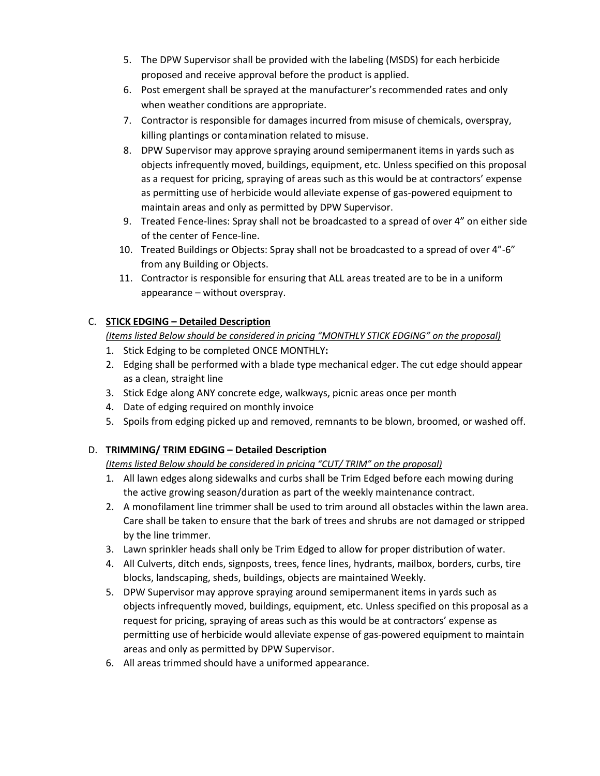- 5. The DPW Supervisor shall be provided with the labeling (MSDS) for each herbicide proposed and receive approval before the product is applied.
- 6. Post emergent shall be sprayed at the manufacturer's recommended rates and only when weather conditions are appropriate.
- 7. Contractor is responsible for damages incurred from misuse of chemicals, overspray, killing plantings or contamination related to misuse.
- 8. DPW Supervisor may approve spraying around semipermanent items in yards such as objects infrequently moved, buildings, equipment, etc. Unless specified on this proposal as a request for pricing, spraying of areas such as this would be at contractors' expense as permitting use of herbicide would alleviate expense of gas-powered equipment to maintain areas and only as permitted by DPW Supervisor.
- 9. Treated Fence-lines: Spray shall not be broadcasted to a spread of over 4" on either side of the center of Fence-line.
- 10. Treated Buildings or Objects: Spray shall not be broadcasted to a spread of over 4"-6" from any Building or Objects.
- 11. Contractor is responsible for ensuring that ALL areas treated are to be in a uniform appearance – without overspray.

### C. **STICK EDGING – Detailed Description**

*(Items listed Below should be considered in pricing "MONTHLY STICK EDGING" on the proposal)*

- 1. Stick Edging to be completed ONCE MONTHLY**:**
- 2. Edging shall be performed with a blade type mechanical edger. The cut edge should appear as a clean, straight line
- 3. Stick Edge along ANY concrete edge, walkways, picnic areas once per month
- 4. Date of edging required on monthly invoice
- 5. Spoils from edging picked up and removed, remnants to be blown, broomed, or washed off.

## D. **TRIMMING/ TRIM EDGING – Detailed Description**

*(Items listed Below should be considered in pricing "CUT/ TRIM" on the proposal)*

- 1. All lawn edges along sidewalks and curbs shall be Trim Edged before each mowing during the active growing season/duration as part of the weekly maintenance contract.
- 2. A monofilament line trimmer shall be used to trim around all obstacles within the lawn area. Care shall be taken to ensure that the bark of trees and shrubs are not damaged or stripped by the line trimmer.
- 3. Lawn sprinkler heads shall only be Trim Edged to allow for proper distribution of water.
- 4. All Culverts, ditch ends, signposts, trees, fence lines, hydrants, mailbox, borders, curbs, tire blocks, landscaping, sheds, buildings, objects are maintained Weekly.
- 5. DPW Supervisor may approve spraying around semipermanent items in yards such as objects infrequently moved, buildings, equipment, etc. Unless specified on this proposal as a request for pricing, spraying of areas such as this would be at contractors' expense as permitting use of herbicide would alleviate expense of gas-powered equipment to maintain areas and only as permitted by DPW Supervisor.
- 6. All areas trimmed should have a uniformed appearance.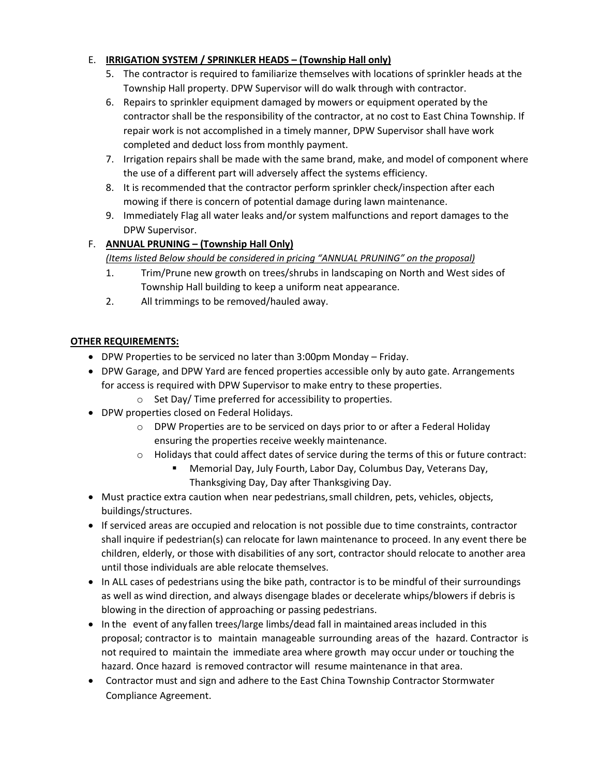### E. **IRRIGATION SYSTEM / SPRINKLER HEADS – (Township Hall only)**

- 5. The contractor is required to familiarize themselves with locations of sprinkler heads at the Township Hall property. DPW Supervisor will do walk through with contractor.
- 6. Repairs to sprinkler equipment damaged by mowers or equipment operated by the contractor shall be the responsibility of the contractor, at no cost to East China Township. If repair work is not accomplished in a timely manner, DPW Supervisor shall have work completed and deduct loss from monthly payment.
- 7. Irrigation repairs shall be made with the same brand, make, and model of component where the use of a different part will adversely affect the systems efficiency.
- 8. It is recommended that the contractor perform sprinkler check/inspection after each mowing if there is concern of potential damage during lawn maintenance.
- 9. Immediately Flag all water leaks and/or system malfunctions and report damages to the DPW Supervisor.

### F. **ANNUAL PRUNING – (Township Hall Only)**

### *(Items listed Below should be considered in pricing "ANNUAL PRUNING" on the proposal)*

- 1. Trim/Prune new growth on trees/shrubs in landscaping on North and West sides of Township Hall building to keep a uniform neat appearance.
- 2. All trimmings to be removed/hauled away.

### **OTHER REQUIREMENTS:**

- DPW Properties to be serviced no later than 3:00pm Monday Friday.
- DPW Garage, and DPW Yard are fenced properties accessible only by auto gate. Arrangements for access is required with DPW Supervisor to make entry to these properties.
	- o Set Day/ Time preferred for accessibility to properties.
- DPW properties closed on Federal Holidays.
	- o DPW Properties are to be serviced on days prior to or after a Federal Holiday ensuring the properties receive weekly maintenance.
	- $\circ$  Holidays that could affect dates of service during the terms of this or future contract:
		- Memorial Day, July Fourth, Labor Day, Columbus Day, Veterans Day, Thanksgiving Day, Day after Thanksgiving Day.
- Must practice extra caution when near pedestrians,small children, pets, vehicles, objects, buildings/structures.
- If serviced areas are occupied and relocation is not possible due to time constraints, contractor shall inquire if pedestrian(s) can relocate for lawn maintenance to proceed. In any event there be children, elderly, or those with disabilities of any sort, contractor should relocate to another area until those individuals are able relocate themselves.
- In ALL cases of pedestrians using the bike path, contractor is to be mindful of their surroundings as well as wind direction, and always disengage blades or decelerate whips/blowers if debris is blowing in the direction of approaching or passing pedestrians.
- In the event of any fallen trees/large limbs/dead fall in maintained areas included in this proposal; contractor is to maintain manageable surrounding areas of the hazard. Contractor is not required to maintain the immediate area where growth may occur under or touching the hazard. Once hazard is removed contractor will resume maintenance in that area.
- Contractor must and sign and adhere to the East China Township Contractor Stormwater Compliance Agreement.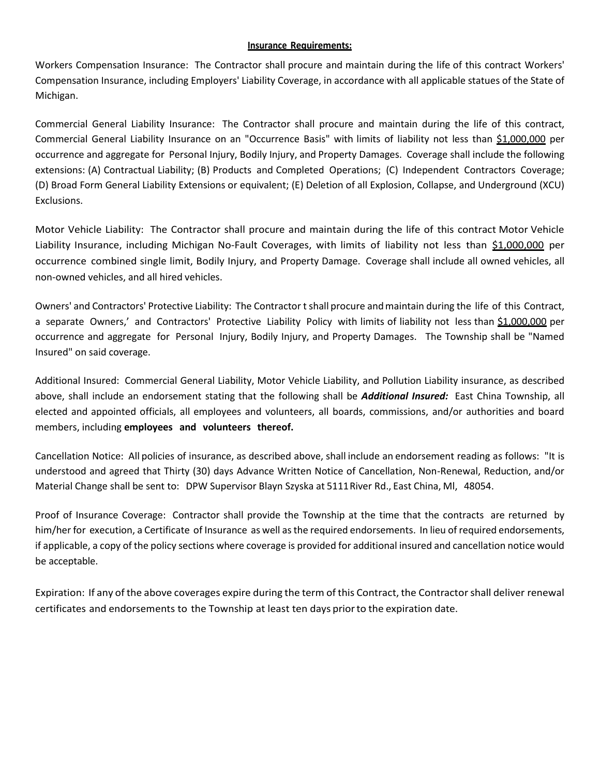#### **Insurance Requirements:**

Workers Compensation Insurance: The Contractor shall procure and maintain during the life of this contract Workers' Compensation Insurance, including Employers' Liability Coverage, in accordance with all applicable statues of the State of Michigan.

Commercial General Liability Insurance: The Contractor shall procure and maintain during the life of this contract, Commercial General Liability Insurance on an "Occurrence Basis" with limits of liability not less than \$1,000,000 per occurrence and aggregate for Personal Injury, Bodily Injury, and Property Damages. Coverage shall include the following extensions: (A) Contractual Liability; (B) Products and Completed Operations; (C) Independent Contractors Coverage; (D) Broad Form General Liability Extensions or equivalent; (E) Deletion of all Explosion, Collapse, and Underground (XCU) Exclusions.

Motor Vehicle Liability: The Contractor shall procure and maintain during the life of this contract Motor Vehicle Liability Insurance, including Michigan No-Fault Coverages, with limits of liability not less than \$1,000,000 per occurrence combined single limit, Bodily Injury, and Property Damage. Coverage shall include all owned vehicles, all non-owned vehicles, and all hired vehicles.

Owners' and Contractors' Protective Liability: The Contractor t shall procure andmaintain during the life of this Contract, a separate Owners,' and Contractors' Protective Liability Policy with limits of liability not less than \$1,000,000 per occurrence and aggregate for Personal Injury, Bodily Injury, and Property Damages. The Township shall be "Named Insured" on said coverage.

Additional Insured: Commercial General Liability, Motor Vehicle Liability, and Pollution Liability insurance, as described above, shall include an endorsement stating that the following shall be *Additional Insured:* East China Township, all elected and appointed officials, all employees and volunteers, all boards, commissions, and/or authorities and board members, including **employees and volunteers thereof.**

Cancellation Notice: All policies of insurance, as described above, shall include an endorsement reading as follows: "It is understood and agreed that Thirty (30) days Advance Written Notice of Cancellation, Non-Renewal, Reduction, and/or Material Change shall be sent to: DPW Supervisor Blayn Szyska at 5111River Rd., East China, Ml, 48054.

Proof of Insurance Coverage: Contractor shall provide the Township at the time that the contracts are returned by him/her for execution, a Certificate of Insurance as well as the required endorsements. In lieu of required endorsements, if applicable, a copy of the policy sections where coverage is provided for additional insured and cancellation notice would be acceptable.

Expiration: If any of the above coverages expire during the term of this Contract, the Contractor shall deliver renewal certificates and endorsements to the Township at least ten days priorto the expiration date.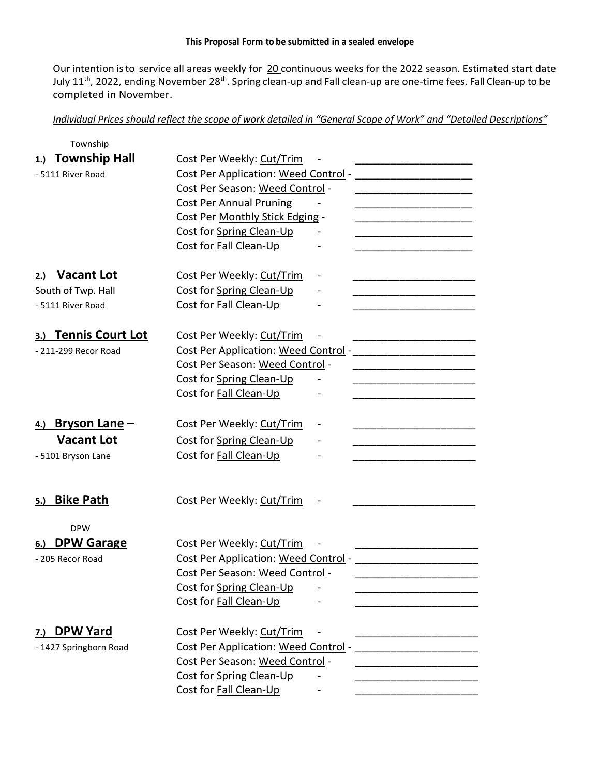#### **This Proposal Form to be submitted in a sealed envelope**

Our intention is to service all areas weekly for 20 continuous weeks for the 2022 season. Estimated start date July 11<sup>th</sup>, 2022, ending November 28<sup>th</sup>. Spring clean-up and Fall clean-up are one-time fees. Fall Clean-up to be completed in November.

*Individual Prices should reflect the scope of work detailed in "General Scope of Work" and "Detailed Descriptions"*

| Township                    |                                      |
|-----------------------------|--------------------------------------|
| <b>Township Hall</b>        | Cost Per Weekly: Cut/Trim            |
| - 5111 River Road           | Cost Per Application: Weed Control - |
|                             | Cost Per Season: Weed Control -      |
|                             | <b>Cost Per Annual Pruning</b>       |
|                             | Cost Per Monthly Stick Edging -      |
|                             | Cost for Spring Clean-Up             |
|                             | Cost for Fall Clean-Up               |
| <b>Vacant Lot</b><br>2.)    | Cost Per Weekly: Cut/Trim            |
| South of Twp. Hall          | Cost for Spring Clean-Up             |
| - 5111 River Road           | Cost for Fall Clean-Up               |
| <b>Tennis Court Lot</b>     | Cost Per Weekly: Cut/Trim            |
| - 211-299 Recor Road        | Cost Per Application: Weed Control - |
|                             | Cost Per Season: Weed Control -      |
|                             | Cost for Spring Clean-Up             |
|                             | Cost for Fall Clean-Up               |
| <u>Bryson Lane</u> –<br>4.) | Cost Per Weekly: Cut/Trim            |
| <b>Vacant Lot</b>           | Cost for Spring Clean-Up             |
| - 5101 Bryson Lane          | Cost for Fall Clean-Up               |
|                             |                                      |
| <b>Bike Path</b><br>5.)     | Cost Per Weekly: Cut/Trim            |
| <b>DPW</b>                  |                                      |
| <b>DPW Garage</b>           | Cost Per Weekly: Cut/Trim            |
| - 205 Recor Road            | Cost Per Application: Weed Control - |
|                             | Cost Per Season: Weed Control -      |
|                             | Cost for Spring Clean-Up             |
|                             | Cost for Fall Clean-Up               |
| <b>DPW Yard</b><br>7.)      | Cost Per Weekly: Cut/Trim            |
| - 1427 Springborn Road      | Cost Per Application: Weed Control - |
|                             | Cost Per Season: Weed Control -      |
|                             | Cost for Spring Clean-Up             |
|                             | Cost for Fall Clean-Up               |